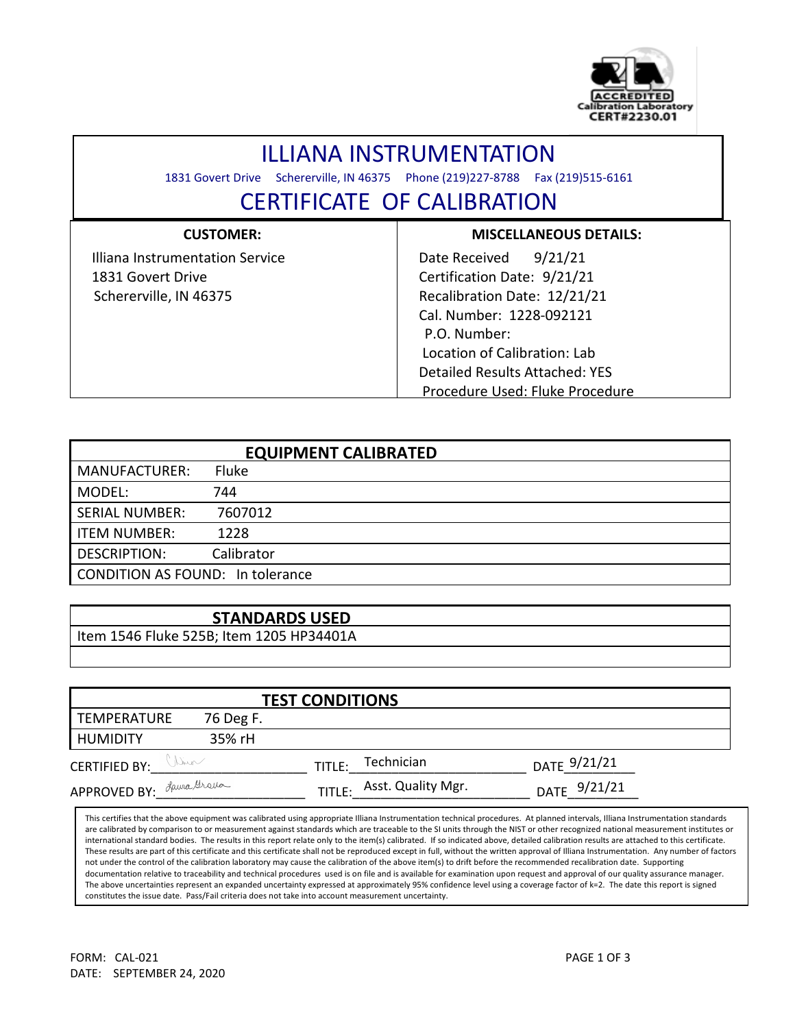

## ILLIANA INSTRUMENTATION

1831 Govert Drive Schererville, IN 46375 Phone (219)227-8788 Fax (219)515-6161

## CERTIFICATE OF CALIBRATION

| <b>CUSTOMER:</b>                | <b>MISCELLANEOUS DETAILS:</b>         |  |  |  |  |
|---------------------------------|---------------------------------------|--|--|--|--|
| Illiana Instrumentation Service | 9/21/21<br>Date Received              |  |  |  |  |
| 1831 Govert Drive               | Certification Date: 9/21/21           |  |  |  |  |
| Schererville, IN 46375          | Recalibration Date: 12/21/21          |  |  |  |  |
|                                 | Cal. Number: 1228-092121              |  |  |  |  |
|                                 | P.O. Number:                          |  |  |  |  |
|                                 | Location of Calibration: Lab          |  |  |  |  |
|                                 | <b>Detailed Results Attached: YES</b> |  |  |  |  |
|                                 | Procedure Used: Fluke Procedure       |  |  |  |  |

| <b>EQUIPMENT CALIBRATED</b>             |              |  |  |  |
|-----------------------------------------|--------------|--|--|--|
| <b>MANUFACTURER:</b>                    | <b>Fluke</b> |  |  |  |
| MODEL:                                  | 744          |  |  |  |
| <b>SERIAL NUMBER:</b>                   | 7607012      |  |  |  |
| <b>ITEM NUMBER:</b>                     | 1228         |  |  |  |
| <b>DESCRIPTION:</b>                     | Calibrator   |  |  |  |
| <b>CONDITION AS FOUND: In tolerance</b> |              |  |  |  |

## **STANDARDS USED**

Item 1546 Fluke 525B; Item 1205 HP34401A

|                             |           | <b>TEST CONDITIONS</b>    |              |
|-----------------------------|-----------|---------------------------|--------------|
| TEMPERATURE                 | 76 Deg F. |                           |              |
| <b>HUMIDITY</b>             | 35% rH    |                           |              |
| Win<br><b>CERTIFIED BY:</b> |           | Technician<br>TITLE:      | DATE 9/21/21 |
| APPROVED BY: Lawrelle       |           | TITLE: Asst. Quality Mgr. | DATE 9/21/21 |

This certifies that the above equipment was calibrated using appropriate Illiana Instrumentation technical procedures. At planned intervals, Illiana Instrumentation standards are calibrated by comparison to or measurement against standards which are traceable to the SI units through the NIST or other recognized national measurement institutes or international standard bodies. The results in this report relate only to the item(s) calibrated. If so indicated above, detailed calibration results are attached to this certificate. These results are part of this certificate and this certificate shall not be reproduced except in full, without the written approval of Illiana Instrumentation. Any number of factors not under the control of the calibration laboratory may cause the calibration of the above item(s) to drift before the recommended recalibration date. Supporting documentation relative to traceability and technical procedures used is on file and is available for examination upon request and approval of our quality assurance manager. The above uncertainties represent an expanded uncertainty expressed at approximately 95% confidence level using a coverage factor of k=2. The date this report is signed constitutes the issue date. Pass/Fail criteria does not take into account measurement uncertainty.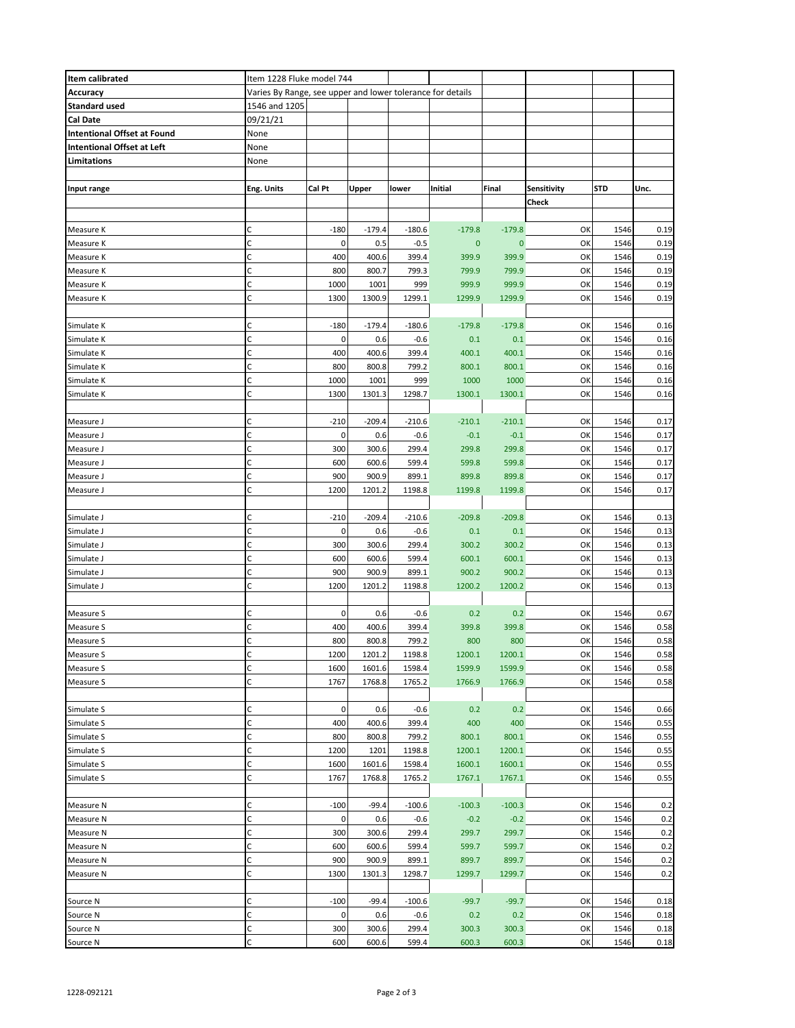| Item calibrated                    | Item 1228 Fluke model 744                                  |             |          |          |              |          |             |      |      |
|------------------------------------|------------------------------------------------------------|-------------|----------|----------|--------------|----------|-------------|------|------|
| Accuracy                           | Varies By Range, see upper and lower tolerance for details |             |          |          |              |          |             |      |      |
| <b>Standard used</b>               | 1546 and 1205                                              |             |          |          |              |          |             |      |      |
| Cal Date                           | 09/21/21                                                   |             |          |          |              |          |             |      |      |
| <b>Intentional Offset at Found</b> | None                                                       |             |          |          |              |          |             |      |      |
| <b>Intentional Offset at Left</b>  | None                                                       |             |          |          |              |          |             |      |      |
| Limitations                        | None                                                       |             |          |          |              |          |             |      |      |
|                                    |                                                            |             |          |          |              |          |             |      |      |
| Input range                        | Eng. Units                                                 | Cal Pt      | Upper    | lower    | Initial      | Final    | Sensitivity | STD  | Unc. |
|                                    |                                                            |             |          |          |              |          | Check       |      |      |
|                                    |                                                            |             |          |          |              |          |             |      |      |
| Measure K                          | C                                                          | $-180$      | $-179.4$ | $-180.6$ | $-179.8$     | $-179.8$ | OK          | 1546 | 0.19 |
| Measure K                          | C                                                          | 0           | 0.5      | $-0.5$   | $\mathbf{0}$ | 0        | OK          | 1546 | 0.19 |
| Measure K                          | C                                                          | 400         | 400.6    | 399.4    | 399.9        | 399.9    | OK          | 1546 | 0.19 |
| Measure K                          | C                                                          | 800         | 800.7    | 799.3    | 799.9        | 799.9    | OK          | 1546 | 0.19 |
| Measure K                          | C                                                          | 1000        | 1001     | 999      | 999.9        | 999.9    | OK          | 1546 | 0.19 |
| Measure K                          | C                                                          | 1300        | 1300.9   | 1299.1   | 1299.9       | 1299.9   | OK          | 1546 | 0.19 |
|                                    |                                                            |             |          |          |              |          |             |      |      |
| Simulate K                         | C                                                          | $-180$      | $-179.4$ | $-180.6$ | $-179.8$     | $-179.8$ | OK          | 1546 | 0.16 |
| Simulate K                         | $\mathsf{C}$                                               | 0           | 0.6      | $-0.6$   | 0.1          | 0.1      | OK          | 1546 | 0.16 |
| Simulate K                         | C                                                          | 400         | 400.6    | 399.4    | 400.1        | 400.1    | OK          | 1546 | 0.16 |
| Simulate K                         | $\mathsf C$                                                | 800         | 800.8    | 799.2    | 800.1        | 800.1    | OK          | 1546 | 0.16 |
| Simulate K                         | $\mathsf{C}$                                               | 1000        | 1001     | 999      | 1000         | 1000     | OK          | 1546 | 0.16 |
| Simulate K                         | C                                                          | 1300        | 1301.3   | 1298.7   | 1300.1       | 1300.1   | OK          | 1546 | 0.16 |
|                                    |                                                            |             |          |          |              |          |             |      |      |
| Measure J                          | C                                                          | $-210$      | $-209.4$ | $-210.6$ | $-210.1$     | $-210.1$ | OK          | 1546 | 0.17 |
| Measure J                          | $\mathsf{C}$                                               | 0           | 0.6      | $-0.6$   | $-0.1$       | $-0.1$   | OK          | 1546 | 0.17 |
| Measure J                          | C                                                          | 300         | 300.6    | 299.4    | 299.8        | 299.8    | OK          | 1546 | 0.17 |
| Measure J                          | C                                                          | 600         | 600.6    | 599.4    | 599.8        | 599.8    | OK          | 1546 | 0.17 |
| Measure J                          | C                                                          | 900         | 900.9    | 899.1    | 899.8        | 899.8    | OK          | 1546 | 0.17 |
| Measure J                          | C                                                          | 1200        | 1201.2   | 1198.8   | 1199.8       | 1199.8   | OK          | 1546 | 0.17 |
|                                    |                                                            |             |          |          |              |          |             |      |      |
| Simulate J                         | C                                                          | $-210$      | $-209.4$ | $-210.6$ | $-209.8$     | $-209.8$ | OK          | 1546 | 0.13 |
| Simulate J                         | C                                                          | $\mathbf 0$ | 0.6      | $-0.6$   | 0.1          | 0.1      | OK          | 1546 | 0.13 |
| Simulate J                         | C                                                          | 300         | 300.6    | 299.4    | 300.2        | 300.2    | OK          | 1546 | 0.13 |
| Simulate J                         | $\mathsf{C}$                                               | 600         | 600.6    | 599.4    | 600.1        | 600.1    | OK          | 1546 | 0.13 |
| Simulate J                         | C                                                          | 900         | 900.9    | 899.1    | 900.2        | 900.2    | OK          | 1546 | 0.13 |
| Simulate J                         | $\mathsf{C}$                                               | 1200        | 1201.2   | 1198.8   | 1200.2       | 1200.2   | OK          | 1546 | 0.13 |
|                                    |                                                            |             |          |          |              |          |             |      |      |
| Measure S                          | C                                                          | 0           | 0.6      | $-0.6$   | 0.2          | 0.2      | OK          | 1546 | 0.67 |
| Measure S                          | C                                                          | 400         | 400.6    | 399.4    | 399.8        | 399.8    | OK          | 1546 | 0.58 |
| Measure S                          | Ċ                                                          | 800         | 800.8    | 799.2    | 800          | 800      | OK          | 1546 | 0.58 |
| Measure S                          | С                                                          | 1200        | 1201.2   | 1198.8   | 1200.1       | 1200.1   | OK          | 1546 | 0.58 |
| Measure S                          | C                                                          | 1600        | 1601.6   | 1598.4   | 1599.9       | 1599.9   | OK          | 1546 | 0.58 |
| Measure S                          | C                                                          | 1767        | 1768.8   | 1765.2   | 1766.9       | 1766.9   | OK          | 1546 | 0.58 |
|                                    |                                                            |             |          |          |              |          |             |      |      |
| Simulate S                         | C                                                          | 0           | 0.6      | -0.6     | 0.2          | 0.2      | OK          | 1546 | 0.66 |
| Simulate S                         | $\mathsf{C}$                                               | 400         | 400.6    | 399.4    | 400          | 400      | OK          | 1546 | 0.55 |
| Simulate S                         | C                                                          | 800         | 800.8    | 799.2    | 800.1        | 800.1    | OK          | 1546 | 0.55 |
| Simulate S                         | $\mathsf{C}$                                               | 1200        | 1201     | 1198.8   | 1200.1       | 1200.1   | OK          | 1546 | 0.55 |
| Simulate S                         | C                                                          | 1600        | 1601.6   | 1598.4   | 1600.1       | 1600.1   | OK          | 1546 | 0.55 |
| Simulate S                         | $\mathsf{C}$                                               | 1767        | 1768.8   | 1765.2   | 1767.1       | 1767.1   | OK          | 1546 | 0.55 |
|                                    |                                                            |             |          |          |              |          |             |      |      |
| Measure N                          | C                                                          | $-100$      | $-99.4$  | $-100.6$ | $-100.3$     | $-100.3$ | OK          | 1546 | 0.2  |
| Measure N                          | C                                                          | 0           | 0.6      | $-0.6$   | $-0.2$       | $-0.2$   | OK          | 1546 | 0.2  |
| Measure N                          | $\mathsf{C}$                                               | 300         | 300.6    | 299.4    | 299.7        | 299.7    | OK          | 1546 | 0.2  |
| Measure N                          | C                                                          | 600         | 600.6    | 599.4    | 599.7        | 599.7    | OK          | 1546 | 0.2  |
| Measure N                          | C                                                          | 900         | 900.9    | 899.1    | 899.7        | 899.7    | OK          | 1546 | 0.2  |
| Measure N                          | C                                                          | 1300        | 1301.3   | 1298.7   | 1299.7       | 1299.7   | OK          | 1546 | 0.2  |
|                                    |                                                            |             |          |          |              |          |             |      |      |
| Source N                           | C                                                          | $-100$      | $-99.4$  | $-100.6$ | $-99.7$      | $-99.7$  | OK          | 1546 | 0.18 |
| Source N                           | C                                                          | 0           | 0.6      | -0.6     | 0.2          | 0.2      | OK          | 1546 | 0.18 |
| Source N                           | C                                                          | 300         | 300.6    | 299.4    | 300.3        | 300.3    | OK          | 1546 | 0.18 |
| Source N                           | $\mathsf{C}$                                               | 600         | 600.6    | 599.4    | 600.3        | 600.3    | OK          | 1546 | 0.18 |